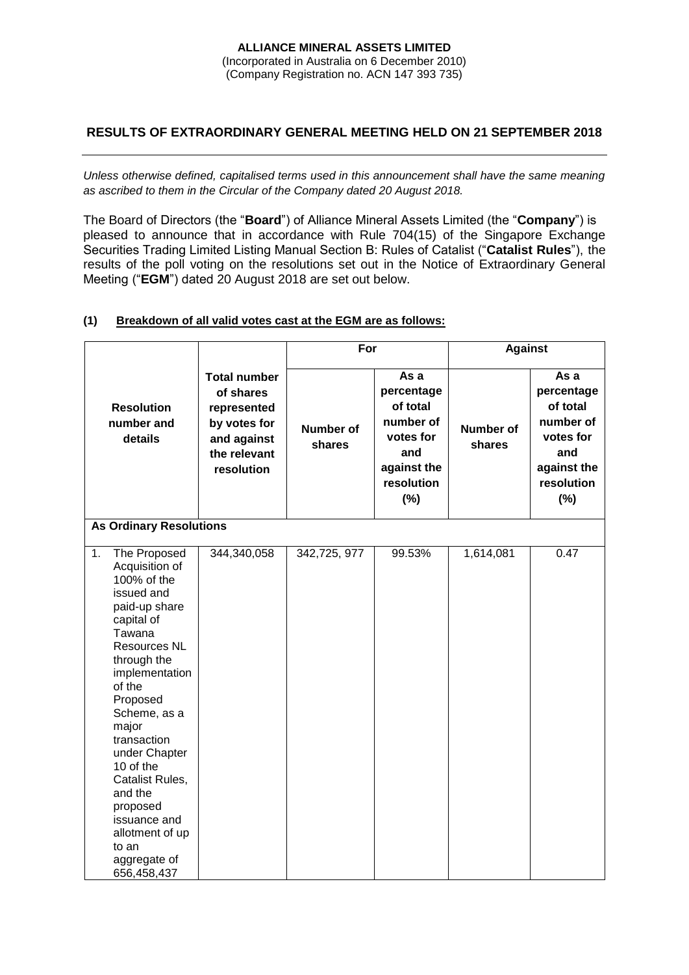### **ALLIANCE MINERAL ASSETS LIMITED** (Incorporated in Australia on 6 December 2010) (Company Registration no. ACN 147 393 735)

# **RESULTS OF EXTRAORDINARY GENERAL MEETING HELD ON 21 SEPTEMBER 2018**

*Unless otherwise defined, capitalised terms used in this announcement shall have the same meaning as ascribed to them in the Circular of the Company dated 20 August 2018.*

The Board of Directors (the "**Board**") of Alliance Mineral Assets Limited (the "**Company**") is pleased to announce that in accordance with Rule 704(15) of the Singapore Exchange Securities Trading Limited Listing Manual Section B: Rules of Catalist ("**Catalist Rules**"), the results of the poll voting on the resolutions set out in the Notice of Extraordinary General Meeting ("**EGM**") dated 20 August 2018 are set out below.

|                                                                                                                                                                                                                                                                                                                                                                                     |                                                                                                              | For                        |                                                                                                        | <b>Against</b>             |                                                                                                        |
|-------------------------------------------------------------------------------------------------------------------------------------------------------------------------------------------------------------------------------------------------------------------------------------------------------------------------------------------------------------------------------------|--------------------------------------------------------------------------------------------------------------|----------------------------|--------------------------------------------------------------------------------------------------------|----------------------------|--------------------------------------------------------------------------------------------------------|
| <b>Resolution</b><br>number and<br>details                                                                                                                                                                                                                                                                                                                                          | <b>Total number</b><br>of shares<br>represented<br>by votes for<br>and against<br>the relevant<br>resolution | <b>Number of</b><br>shares | As a<br>percentage<br>of total<br>number of<br>votes for<br>and<br>against the<br>resolution<br>$(\%)$ | <b>Number of</b><br>shares | As a<br>percentage<br>of total<br>number of<br>votes for<br>and<br>against the<br>resolution<br>$(\%)$ |
| <b>As Ordinary Resolutions</b>                                                                                                                                                                                                                                                                                                                                                      |                                                                                                              |                            |                                                                                                        |                            |                                                                                                        |
| 1.<br>The Proposed<br>Acquisition of<br>100% of the<br>issued and<br>paid-up share<br>capital of<br>Tawana<br><b>Resources NL</b><br>through the<br>implementation<br>of the<br>Proposed<br>Scheme, as a<br>major<br>transaction<br>under Chapter<br>10 of the<br>Catalist Rules,<br>and the<br>proposed<br>issuance and<br>allotment of up<br>to an<br>aggregate of<br>656,458,437 | 344,340,058                                                                                                  | 342,725, 977               | 99.53%                                                                                                 | 1,614,081                  | 0.47                                                                                                   |

## **(1) Breakdown of all valid votes cast at the EGM are as follows:**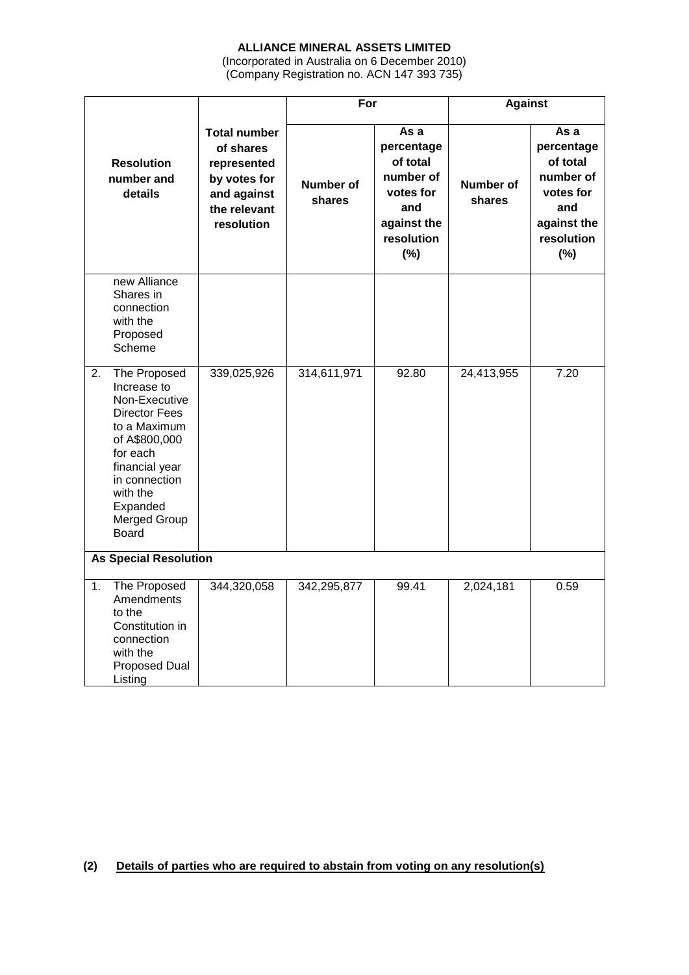# **ALLIANCE MINERAL ASSETS LIMITED**

(Incorporated in Australia on 6 December 2010) (Company Registration no. ACN 147 393 735)

|                              |                                                                                                                                                                                                              |                                                                                                              | For                 |                                                                                                     | <b>Against</b>             |                                                                                                     |
|------------------------------|--------------------------------------------------------------------------------------------------------------------------------------------------------------------------------------------------------------|--------------------------------------------------------------------------------------------------------------|---------------------|-----------------------------------------------------------------------------------------------------|----------------------------|-----------------------------------------------------------------------------------------------------|
|                              | <b>Resolution</b><br>number and<br>details                                                                                                                                                                   | <b>Total number</b><br>of shares<br>represented<br>by votes for<br>and against<br>the relevant<br>resolution | Number of<br>shares | As a<br>percentage<br>of total<br>number of<br>votes for<br>and<br>against the<br>resolution<br>(%) | <b>Number of</b><br>shares | As a<br>percentage<br>of total<br>number of<br>votes for<br>and<br>against the<br>resolution<br>(%) |
|                              | new Alliance<br>Shares in<br>connection<br>with the<br>Proposed<br>Scheme                                                                                                                                    |                                                                                                              |                     |                                                                                                     |                            |                                                                                                     |
| 2.                           | The Proposed<br>Increase to<br>Non-Executive<br><b>Director Fees</b><br>to a Maximum<br>of A\$800,000<br>for each<br>financial year<br>in connection<br>with the<br>Expanded<br>Merged Group<br><b>Board</b> | 339,025,926                                                                                                  | 314,611,971         | 92.80                                                                                               | 24,413,955                 | 7.20                                                                                                |
| <b>As Special Resolution</b> |                                                                                                                                                                                                              |                                                                                                              |                     |                                                                                                     |                            |                                                                                                     |
| 1.                           | The Proposed<br>Amendments<br>to the<br>Constitution in<br>connection<br>with the<br><b>Proposed Dual</b><br>Listing                                                                                         | 344,320,058                                                                                                  | 342,295,877         | 99.41                                                                                               | 2,024,181                  | 0.59                                                                                                |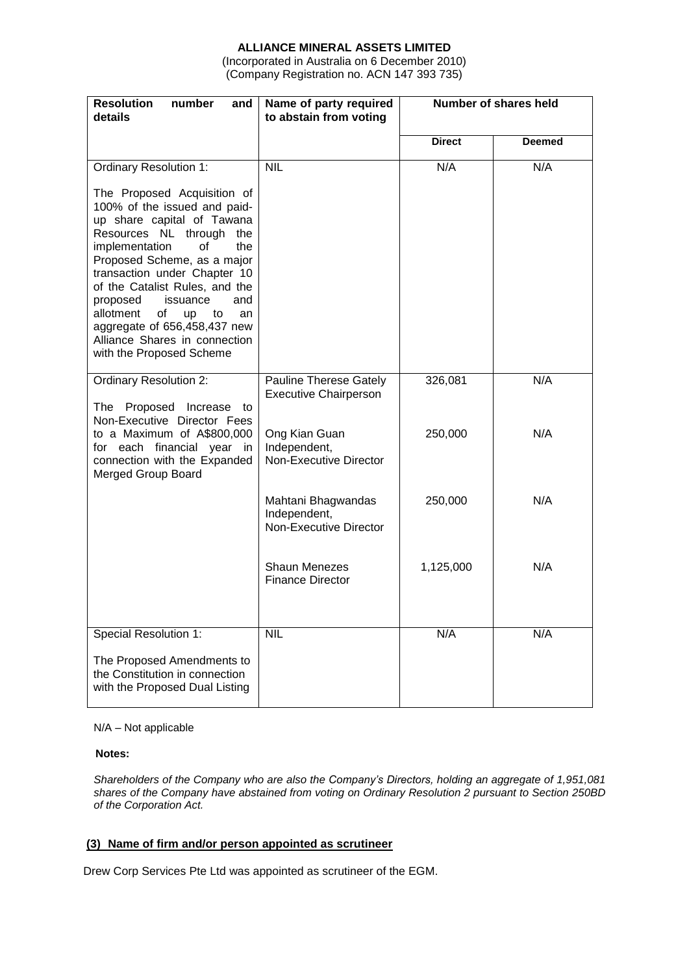# **ALLIANCE MINERAL ASSETS LIMITED**

(Incorporated in Australia on 6 December 2010) (Company Registration no. ACN 147 393 735)

| <b>Resolution</b><br>number<br>and<br>details                                                                                                                                                                                                                                                                                                                                                                                                           | Name of party required<br>to abstain from voting                                                                         | Number of shares held |               |  |
|---------------------------------------------------------------------------------------------------------------------------------------------------------------------------------------------------------------------------------------------------------------------------------------------------------------------------------------------------------------------------------------------------------------------------------------------------------|--------------------------------------------------------------------------------------------------------------------------|-----------------------|---------------|--|
|                                                                                                                                                                                                                                                                                                                                                                                                                                                         |                                                                                                                          | <b>Direct</b>         | <b>Deemed</b> |  |
| <b>Ordinary Resolution 1:</b><br>The Proposed Acquisition of<br>100% of the issued and paid-<br>up share capital of Tawana<br>Resources NL through the<br>of<br>implementation<br>the<br>Proposed Scheme, as a major<br>transaction under Chapter 10<br>of the Catalist Rules, and the<br>proposed<br>issuance<br>and<br>allotment<br>of<br>up<br>to<br>an<br>aggregate of 656,458,437 new<br>Alliance Shares in connection<br>with the Proposed Scheme | <b>NIL</b>                                                                                                               | N/A                   | N/A           |  |
| <b>Ordinary Resolution 2:</b><br>The Proposed Increase to<br>Non-Executive Director Fees<br>to a Maximum of A\$800,000<br>for each financial year in<br>connection with the Expanded<br>Merged Group Board                                                                                                                                                                                                                                              | <b>Pauline Therese Gately</b><br><b>Executive Chairperson</b><br>Ong Kian Guan<br>Independent,<br>Non-Executive Director | 326,081<br>250,000    | N/A<br>N/A    |  |
|                                                                                                                                                                                                                                                                                                                                                                                                                                                         | Mahtani Bhagwandas<br>Independent,<br>Non-Executive Director                                                             | 250,000               | N/A           |  |
|                                                                                                                                                                                                                                                                                                                                                                                                                                                         | <b>Shaun Menezes</b><br><b>Finance Director</b>                                                                          | 1,125,000             | N/A           |  |
| <b>Special Resolution 1:</b><br>The Proposed Amendments to<br>the Constitution in connection<br>with the Proposed Dual Listing                                                                                                                                                                                                                                                                                                                          | <b>NIL</b>                                                                                                               | N/A                   | N/A           |  |

#### N/A – Not applicable

#### **Notes:**

*Shareholders of the Company who are also the Company's Directors, holding an aggregate of 1,951,081 shares of the Company have abstained from voting on Ordinary Resolution 2 pursuant to Section 250BD of the Corporation Act.*

### **(3) Name of firm and/or person appointed as scrutineer**

Drew Corp Services Pte Ltd was appointed as scrutineer of the EGM.